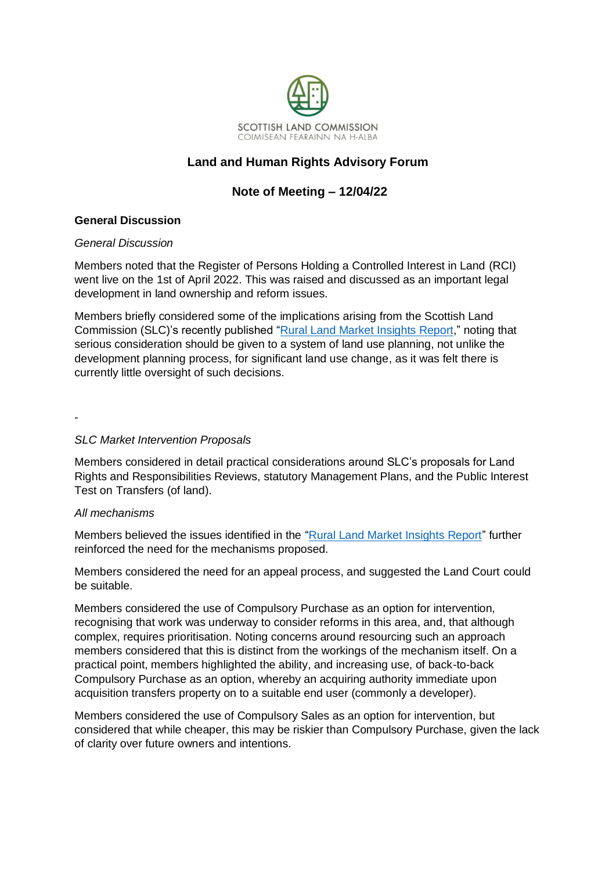

# **Land and Human Rights Advisory Forum**

# **Note of Meeting – 12/04/22**

## **General Discussion**

### *General Discussion*

Members noted that the Register of Persons Holding a Controlled Interest in Land (RCI) went live on the 1st of April 2022. This was raised and discussed as an important legal development in land ownership and reform issues.

Members briefly considered some of the implications arising from the Scottish Land Commission (SLC)'s recently published ["Rural Land Market Insights Report,](https://www.landcommission.gov.scot/downloads/62543b9498bb1_Rural%20Land%20Market%20Insights%20Report%20April%202022.pdf)" noting that serious consideration should be given to a system of land use planning, not unlike the development planning process, for significant land use change, as it was felt there is currently little oversight of such decisions.

-

### *SLC Market Intervention Proposals*

Members considered in detail practical considerations around SLC's proposals for Land Rights and Responsibilities Reviews, statutory Management Plans, and the Public Interest Test on Transfers (of land).

### *All mechanisms*

Members believed the issues identified in the ["Rural Land Market Insights Report"](https://www.landcommission.gov.scot/downloads/62543b9498bb1_Rural%20Land%20Market%20Insights%20Report%20April%202022.pdf) further reinforced the need for the mechanisms proposed.

Members considered the need for an appeal process, and suggested the Land Court could be suitable.

Members considered the use of Compulsory Purchase as an option for intervention, recognising that work was underway to consider reforms in this area, and, that although complex, requires prioritisation. Noting concerns around resourcing such an approach members considered that this is distinct from the workings of the mechanism itself. On a practical point, members highlighted the ability, and increasing use, of back-to-back Compulsory Purchase as an option, whereby an acquiring authority immediate upon acquisition transfers property on to a suitable end user (commonly a developer).

Members considered the use of Compulsory Sales as an option for intervention, but considered that while cheaper, this may be riskier than Compulsory Purchase, given the lack of clarity over future owners and intentions.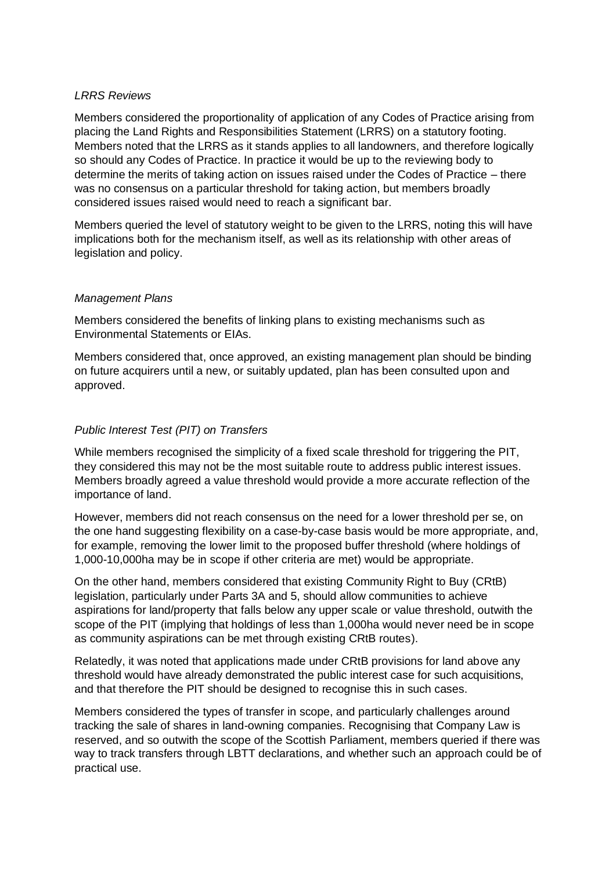#### *LRRS Reviews*

Members considered the proportionality of application of any Codes of Practice arising from placing the Land Rights and Responsibilities Statement (LRRS) on a statutory footing. Members noted that the LRRS as it stands applies to all landowners, and therefore logically so should any Codes of Practice. In practice it would be up to the reviewing body to determine the merits of taking action on issues raised under the Codes of Practice – there was no consensus on a particular threshold for taking action, but members broadly considered issues raised would need to reach a significant bar.

Members queried the level of statutory weight to be given to the LRRS, noting this will have implications both for the mechanism itself, as well as its relationship with other areas of legislation and policy.

#### *Management Plans*

Members considered the benefits of linking plans to existing mechanisms such as Environmental Statements or EIAs.

Members considered that, once approved, an existing management plan should be binding on future acquirers until a new, or suitably updated, plan has been consulted upon and approved.

#### *Public Interest Test (PIT) on Transfers*

While members recognised the simplicity of a fixed scale threshold for triggering the PIT, they considered this may not be the most suitable route to address public interest issues. Members broadly agreed a value threshold would provide a more accurate reflection of the importance of land.

However, members did not reach consensus on the need for a lower threshold per se, on the one hand suggesting flexibility on a case-by-case basis would be more appropriate, and, for example, removing the lower limit to the proposed buffer threshold (where holdings of 1,000-10,000ha may be in scope if other criteria are met) would be appropriate.

On the other hand, members considered that existing Community Right to Buy (CRtB) legislation, particularly under Parts 3A and 5, should allow communities to achieve aspirations for land/property that falls below any upper scale or value threshold, outwith the scope of the PIT (implying that holdings of less than 1,000ha would never need be in scope as community aspirations can be met through existing CRtB routes).

Relatedly, it was noted that applications made under CRtB provisions for land above any threshold would have already demonstrated the public interest case for such acquisitions, and that therefore the PIT should be designed to recognise this in such cases.

Members considered the types of transfer in scope, and particularly challenges around tracking the sale of shares in land-owning companies. Recognising that Company Law is reserved, and so outwith the scope of the Scottish Parliament, members queried if there was way to track transfers through LBTT declarations, and whether such an approach could be of practical use.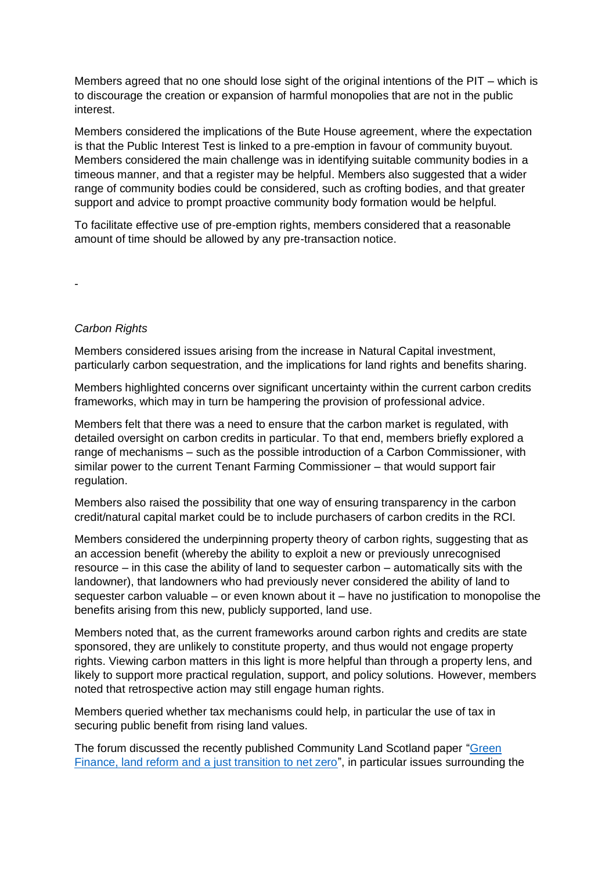Members agreed that no one should lose sight of the original intentions of the PIT – which is to discourage the creation or expansion of harmful monopolies that are not in the public interest.

Members considered the implications of the Bute House agreement, where the expectation is that the Public Interest Test is linked to a pre-emption in favour of community buyout. Members considered the main challenge was in identifying suitable community bodies in a timeous manner, and that a register may be helpful. Members also suggested that a wider range of community bodies could be considered, such as crofting bodies, and that greater support and advice to prompt proactive community body formation would be helpful.

To facilitate effective use of pre-emption rights, members considered that a reasonable amount of time should be allowed by any pre-transaction notice.

-

## *Carbon Rights*

Members considered issues arising from the increase in Natural Capital investment, particularly carbon sequestration, and the implications for land rights and benefits sharing.

Members highlighted concerns over significant uncertainty within the current carbon credits frameworks, which may in turn be hampering the provision of professional advice.

Members felt that there was a need to ensure that the carbon market is regulated, with detailed oversight on carbon credits in particular. To that end, members briefly explored a range of mechanisms – such as the possible introduction of a Carbon Commissioner, with similar power to the current Tenant Farming Commissioner – that would support fair regulation.

Members also raised the possibility that one way of ensuring transparency in the carbon credit/natural capital market could be to include purchasers of carbon credits in the RCI.

Members considered the underpinning property theory of carbon rights, suggesting that as an accession benefit (whereby the ability to exploit a new or previously unrecognised resource – in this case the ability of land to sequester carbon – automatically sits with the landowner), that landowners who had previously never considered the ability of land to sequester carbon valuable – or even known about it – have no justification to monopolise the benefits arising from this new, publicly supported, land use.

Members noted that, as the current frameworks around carbon rights and credits are state sponsored, they are unlikely to constitute property, and thus would not engage property rights. Viewing carbon matters in this light is more helpful than through a property lens, and likely to support more practical regulation, support, and policy solutions. However, members noted that retrospective action may still engage human rights.

Members queried whether tax mechanisms could help, in particular the use of tax in securing public benefit from rising land values.

The forum discussed the recently published Community Land Scotland paper ["Green](https://www.communitylandscotland.org.uk/wp-content/uploads/2022/03/Green-finance-land-reform-and-a-just-transition-to-net-zero-a-discussion-paper_CLS_Feb-2022.pdf)  [Finance, land reform and a just transition to net zero"](https://www.communitylandscotland.org.uk/wp-content/uploads/2022/03/Green-finance-land-reform-and-a-just-transition-to-net-zero-a-discussion-paper_CLS_Feb-2022.pdf), in particular issues surrounding the